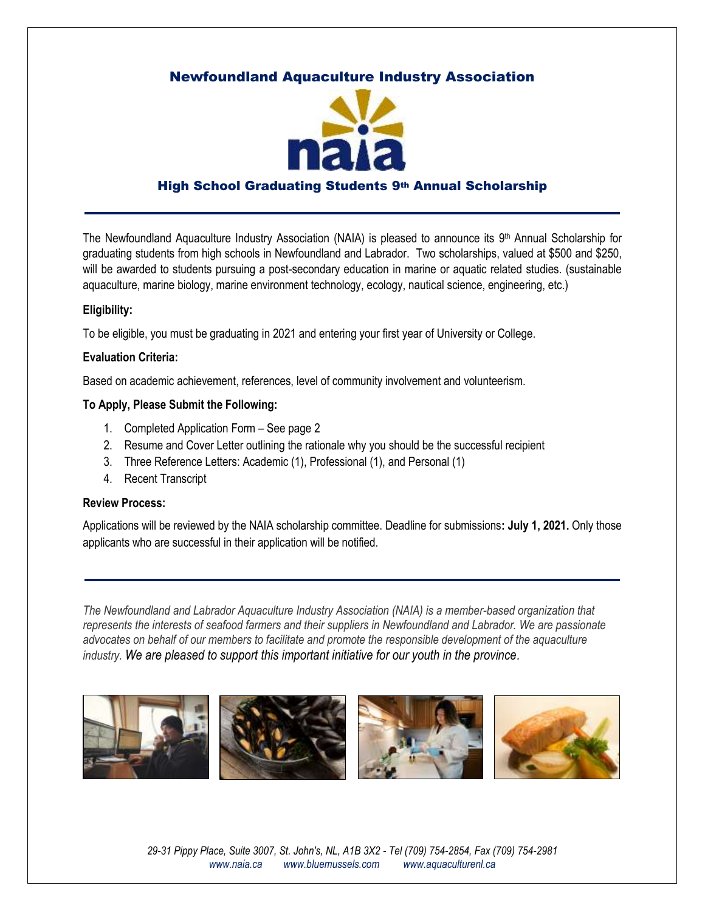## Newfoundland Aquaculture Industry Association



### High School Graduating Students 9th Annual Scholarship

The Newfoundland Aquaculture Industry Association (NAIA) is pleased to announce its 9<sup>th</sup> Annual Scholarship for graduating students from high schools in Newfoundland and Labrador. Two scholarships, valued at \$500 and \$250, will be awarded to students pursuing a post-secondary education in marine or aquatic related studies. (sustainable aquaculture, marine biology, marine environment technology, ecology, nautical science, engineering, etc.)

#### **Eligibility:**

To be eligible, you must be graduating in 2021 and entering your first year of University or College.

#### **Evaluation Criteria:**

Based on academic achievement, references, level of community involvement and volunteerism.

#### **To Apply, Please Submit the Following:**

- 1. Completed Application Form See page 2
- 2. Resume and Cover Letter outlining the rationale why you should be the successful recipient
- 3. Three Reference Letters: Academic (1), Professional (1), and Personal (1)
- 4. Recent Transcript

#### **Review Process:**

Applications will be reviewed by the NAIA scholarship committee. Deadline for submissions**: July 1, 2021.** Only those applicants who are successful in their application will be notified.

*The Newfoundland and Labrador Aquaculture Industry Association (NAIA) is a member-based organization that represents the interests of seafood farmers and their suppliers in Newfoundland and Labrador. We are passionate advocates on behalf of our members to facilitate and promote the responsible development of the aquaculture industry. We are pleased to support this important initiative for our youth in the province.*